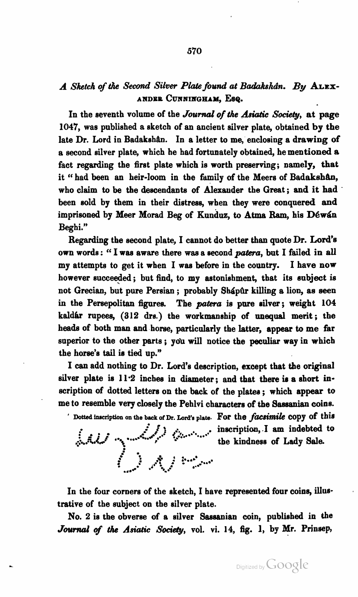## A Sketch of the Second Silver Plate found at Badakshân. By **ALEX**-ANDER CUNNINGHAM, EsQ.

In the seventh volume of the *Journal of the Asiatic Society*, at page 1047, was published a sketch of an ancient silver plate, obtained by the late Dr. Lord in Badakshân. In a letter to me, enclosing a drawing of **a** second silver plate, which he had fortunately obtained, he mentioned a fact regarding the first plate which is worth preserving; namely, that it "had been an heir-loom in the family of the Meers of Badakshân, who claim to be the descendants of Alexander the Great; and it had been sold by them in their distress, when they were conquered and imprisoned by Meer Morad Beg of Kunduz, to Atma Ram, his Déwán Beghi."

Regarding the second plate, I cannot do better than quote Dr. Lord's own words : '< I waa aware there was a second *patera,* but I failed in all my attempts to get it when I was before in the country. I have now however succeeded; but find, to my astonishment, that its subject is not Grecian, but pure Persian; probably Shápûr killing a lion, as seen in the Persepolitan figures. The *patera* is pure silver; weight 104 kaldár rupees, (312 drs.) the workmanship of unequal merit; the heada of both man and horse, particularly the latter, appear to me far superior to the other parts; you will notice the peculiar way in which the horee's tail is tied up."

I can add nothing to Dr. Lord's description, except that the original silver plate is 11<sup>.2</sup> inches in diameter; and that there is a short inscription of dotted letters on the back of the plates ; which appear to me to resemble very closely the Pehlvi characters of the Saseanian coins.

' Dotted inscription on the back of Dr. Lord's plate. For the *facsimile* copy of this

**1.4.1.**  $\therefore$   $\therefore$   $\therefore$   $\therefore$  inscription, I am indebted to the kindness of Lady Sale.

In the four corners of the sketch, I have represented four coins, illustrative of the subject on the silver plate.

No. 2 is the obverse of a silver Sassanian coin, published in the **Journal** of **the** *Asiatic Society,* vol. vi. 14, fig. 1, by Mr. Prineep,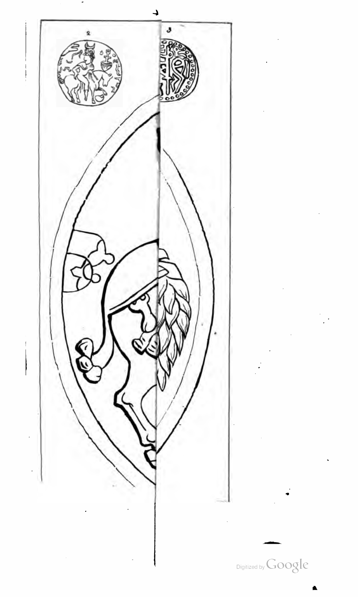

Digitized by Google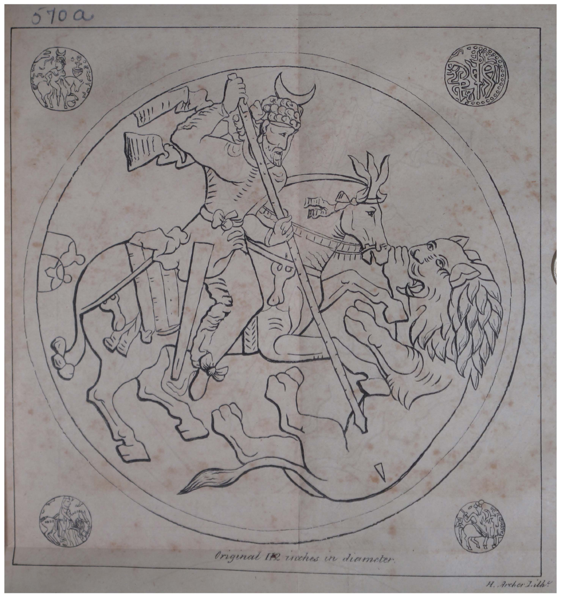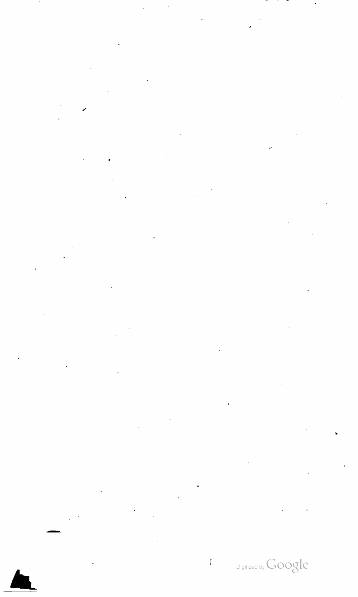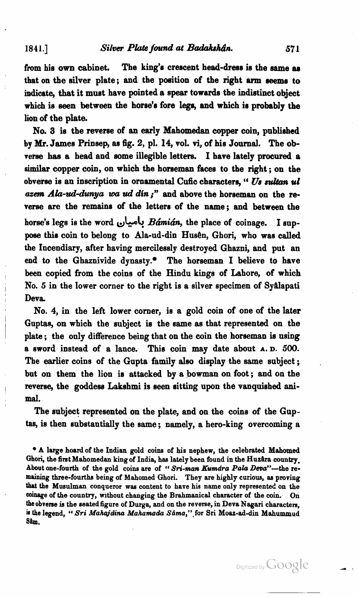from his own cabinet. The king's crescent head-dress is the same as that on the silver plate; and the poeition of the right **arm** seems to indicate, that it must have pointed a spear towards the indistinct object which is seen between the horse's fore legs, and which is probably the lion of the plate.

No. **3** is the reverse of an early Mahornedan copper coin, published by **Mr.** James Prinsep, **as fig.** 2, pl. 14, vol. **vi,** of his Journal. The obverse **ha8** a head and some illegible letters. I have lately procured a similar copper coin, on which the horseman faces to the right ; on the obverse is an inscription in ornamental Cufic characters, " Us sultan ul **uzem** Ala-ud-dunya **wa** ud *din* ;" and above the horseman on the reverse **are** the remains of the letters of the name; and between the horse's legs is the word *Bhicin,* the place of coinage. I suppose this coin to belong to Ala-ud-din Husên, Ghori, who was called the Incendiary, after having mercilessly destroyed Ghazni, and put an end to the Ghaznivide dynasty.\* The horseman I believe to have been copied from the coins of the Hindu kings of Lahore, of which No. 5 in the lower corner to the right is a silver specimen of Syalapati Deva.

No. 4, in the left lower comer, is a gold coin of one of the later Gnptas, on which the subject is the eame as that represented on the plate ; the only difference being that on the coin the horseman is using a sword instead of a lance. This coin may date about A. D. 500. The earlier coins of the Gupta family also display the same subject; but on them the lion is attacked by a bowman on foot; and on the reverse, the goddess Lakshmi is seen sitting upon the vanquished animal.

The subject represented on the plate, and on the coins of the Gup**tas,** is then substantially the same; namely, a hero-king overcoming a

A large hoard of the Indian gold coins of his nephew, the celebrated Mahomed Ghori, the first Mahomedan king of India, has lately been found in the Huzâra country. About one-fourth of the gold coins are of " Sri-man Kumdra Pala Deva"-the remaining three-fourths being of Mahomed Ghori. They are highly curious, **an** proving that the Musulman conqueror was content to have his name only represented on the coinage of the country, without changing the Brahmanical character of the coin. On **the** obverse **ia** the seatedfigure of Durga, and on the reverse, in Deva Nagari characters, is the legend, "Sri Mahajdina Mahamada Sáma," for Sri Moaz-ad-din Mahummud **S8m.** 

Digitized by Google